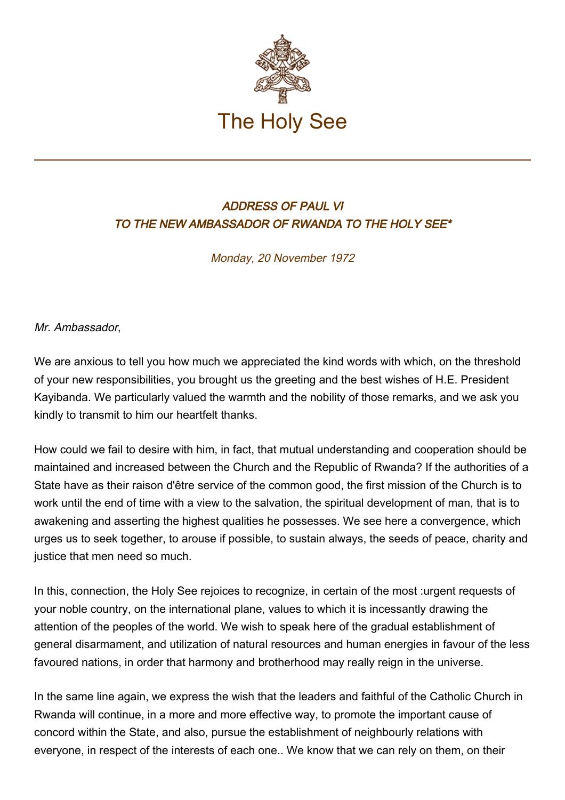

## ADDRESS OF PAUL VI TO THE NEW AMBASSADOR OF RWANDA TO THE HOLY SEE\*

Monday, 20 November 1972

Mr. Ambassador,

We are anxious to tell you how much we appreciated the kind words with which, on the threshold of your new responsibilities, you brought us the greeting and the best wishes of H.E. President Kayibanda. We particularly valued the warmth and the nobility of those remarks, and we ask you kindly to transmit to him our heartfelt thanks.

How could we fail to desire with him, in fact, that mutual understanding and cooperation should be maintained and increased between the Church and the Republic of Rwanda? If the authorities of a State have as their raison d'être service of the common good, the first mission of the Church is to work until the end of time with a view to the salvation, the spiritual development of man, that is to awakening and asserting the highest qualities he possesses. We see here a convergence, which urges us to seek together, to arouse if possible, to sustain always, the seeds of peace, charity and justice that men need so much.

In this, connection, the Holy See rejoices to recognize, in certain of the most :urgent requests of your noble country, on the international plane, values to which it is incessantly drawing the attention of the peoples of the world. We wish to speak here of the gradual establishment of general disarmament, and utilization of natural resources and human energies in favour of the less favoured nations, in order that harmony and brotherhood may really reign in the universe.

In the same line again, we express the wish that the leaders and faithful of the Catholic Church in Rwanda will continue, in a more and more effective way, to promote the important cause of concord within the State, and also, pursue the establishment of neighbourly relations with everyone, in respect of the interests of each one.. We know that we can rely on them, on their